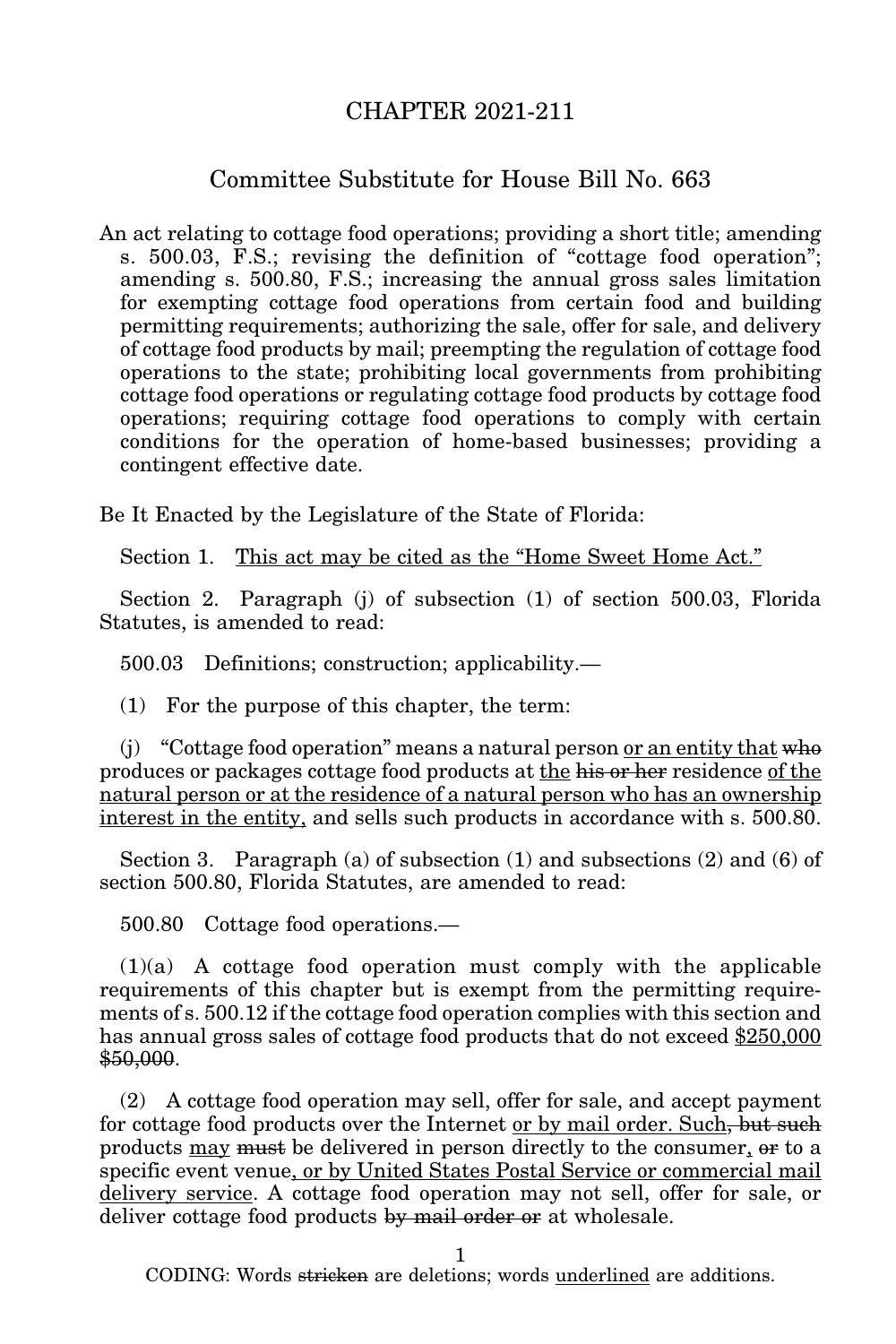## CHAPTER 2021-211

## Committee Substitute for House Bill No. 663

An act relating to cottage food operations; providing a short title; amending s. 500.03, F.S.; revising the definition of "cottage food operation"; amending s. 500.80, F.S.; increasing the annual gross sales limitation for exempting cottage food operations from certain food and building permitting requirements; authorizing the sale, offer for sale, and delivery of cottage food products by mail; preempting the regulation of cottage food operations to the state; prohibiting local governments from prohibiting cottage food operations or regulating cottage food products by cottage food operations; requiring cottage food operations to comply with certain conditions for the operation of home-based businesses; providing a contingent effective date.

Be It Enacted by the Legislature of the State of Florida:

Section 1. This act may be cited as the "Home Sweet Home Act."

Section 2. Paragraph (j) of subsection (1) of section 500.03, Florida Statutes, is amended to read:

500.03 Definitions; construction; applicability.—

(1) For the purpose of this chapter, the term:

(j) "Cottage food operation" means a natural person or an entity that who produces or packages cottage food products at the his or her residence of the natural person or at the residence of a natural person who has an ownership interest in the entity, and sells such products in accordance with s. 500.80.

Section 3. Paragraph (a) of subsection (1) and subsections (2) and (6) of section 500.80, Florida Statutes, are amended to read:

500.80 Cottage food operations.—

 $(1)(a)$  A cottage food operation must comply with the applicable requirements of this chapter but is exempt from the permitting requirements of s. 500.12 if the cottage food operation complies with this section and has annual gross sales of cottage food products that do not exceed \$250,000 \$50,000.

(2) A cottage food operation may sell, offer for sale, and accept payment for cottage food products over the Internet or by mail order. Such, but such products may must be delivered in person directly to the consumer, or to a specific event venue, or by United States Postal Service or commercial mail delivery service. A cottage food operation may not sell, offer for sale, or deliver cottage food products by mail order or at wholesale.

1

CODING: Words stricken are deletions; words underlined are additions.